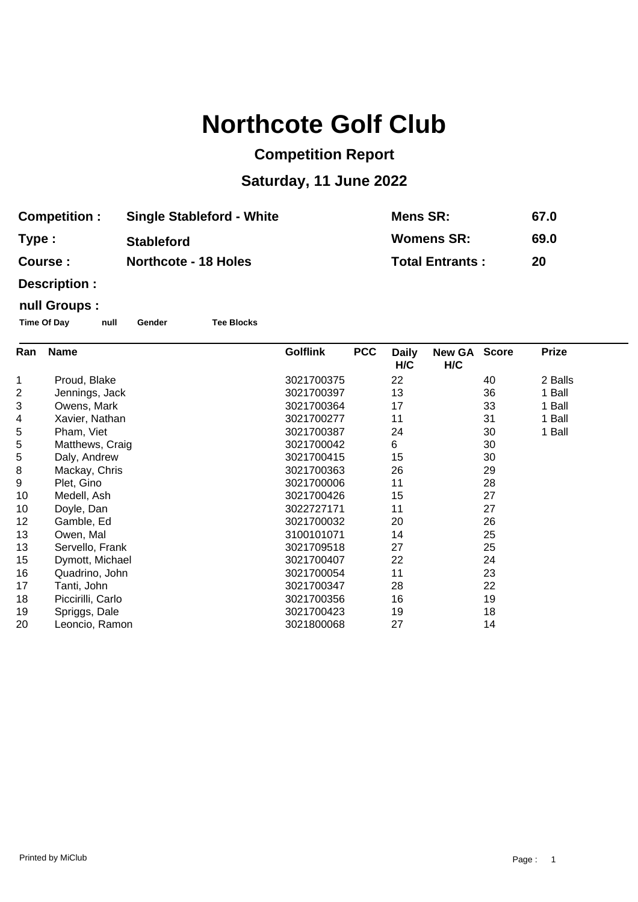# **Northcote Golf Club**

## **Competition Report**

## **Saturday, 11 June 2022**

| <b>Competition :</b> | <b>Single Stableford - White</b> | Mens SR:               | 67.0 |
|----------------------|----------------------------------|------------------------|------|
| Type :               | <b>Stableford</b>                | Womens SR:             | 69.0 |
| Course :             | <b>Northcote - 18 Holes</b>      | <b>Total Entrants:</b> | 20   |

**Description :**

### **null Groups :**

**Time Of Day null Gender Tee Blocks**

| Ran | <b>Name</b>       | <b>Golflink</b> | <b>PCC</b> | <b>Daily</b><br>H/C | New GA Score<br>H/C |    | <b>Prize</b> |
|-----|-------------------|-----------------|------------|---------------------|---------------------|----|--------------|
| 1   | Proud, Blake      | 3021700375      |            | 22                  |                     | 40 | 2 Balls      |
| 2   | Jennings, Jack    | 3021700397      |            | 13                  |                     | 36 | 1 Ball       |
| 3   | Owens, Mark       | 3021700364      |            | 17                  |                     | 33 | 1 Ball       |
| 4   | Xavier, Nathan    | 3021700277      |            | 11                  |                     | 31 | 1 Ball       |
| 5   | Pham, Viet        | 3021700387      |            | 24                  |                     | 30 | 1 Ball       |
| 5   | Matthews, Craig   | 3021700042      |            | 6                   |                     | 30 |              |
| 5   | Daly, Andrew      | 3021700415      |            | 15                  |                     | 30 |              |
| 8   | Mackay, Chris     | 3021700363      |            | 26                  |                     | 29 |              |
| 9   | Plet, Gino        | 3021700006      |            | 11                  |                     | 28 |              |
| 10  | Medell, Ash       | 3021700426      |            | 15                  |                     | 27 |              |
| 10  | Doyle, Dan        | 3022727171      |            | 11                  |                     | 27 |              |
| 12  | Gamble, Ed        | 3021700032      |            | 20                  |                     | 26 |              |
| 13  | Owen, Mal         | 3100101071      |            | 14                  |                     | 25 |              |
| 13  | Servello, Frank   | 3021709518      |            | 27                  |                     | 25 |              |
| 15  | Dymott, Michael   | 3021700407      |            | 22                  |                     | 24 |              |
| 16  | Quadrino, John    | 3021700054      |            | 11                  |                     | 23 |              |
| 17  | Tanti, John       | 3021700347      |            | 28                  |                     | 22 |              |
| 18  | Piccirilli, Carlo | 3021700356      |            | 16                  |                     | 19 |              |
| 19  | Spriggs, Dale     | 3021700423      |            | 19                  |                     | 18 |              |
| 20  | Leoncio, Ramon    | 3021800068      |            | 27                  |                     | 14 |              |